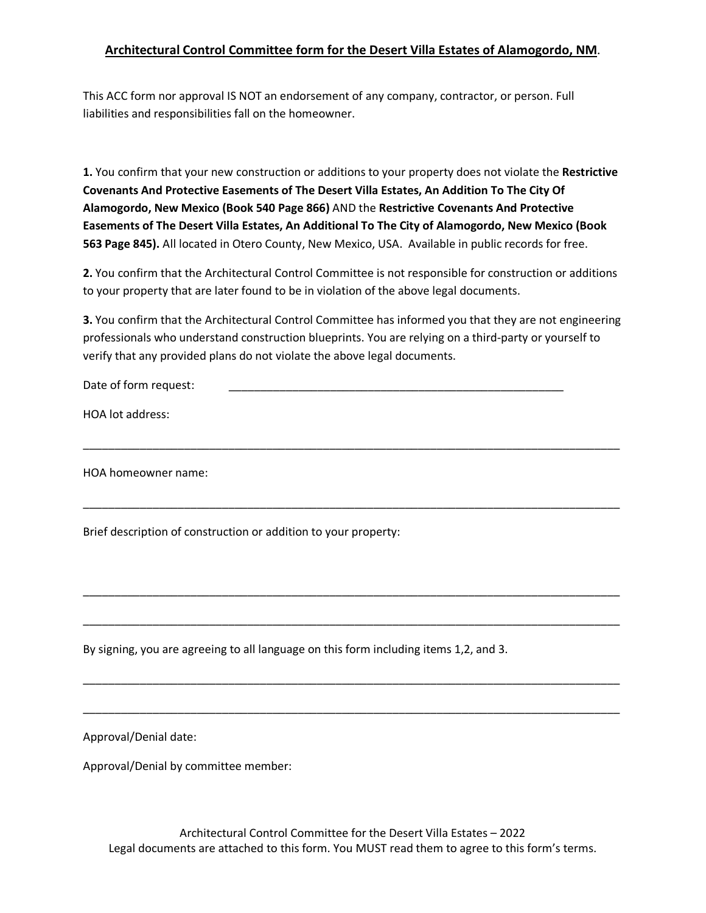#### **Architectural Control Committee form for the Desert Villa Estates of Alamogordo, NM**.

This ACC form nor approval IS NOT an endorsement of any company, contractor, or person. Full liabilities and responsibilities fall on the homeowner.

**1.** You confirm that your new construction or additions to your property does not violate the **Restrictive Covenants And Protective Easements of The Desert Villa Estates, An Addition To The City Of Alamogordo, New Mexico (Book 540 Page 866)** AND the **Restrictive Covenants And Protective Easements of The Desert Villa Estates, An Additional To The City of Alamogordo, New Mexico (Book 563 Page 845).** All located in Otero County, New Mexico, USA. Available in public records for free.

**2.** You confirm that the Architectural Control Committee is not responsible for construction or additions to your property that are later found to be in violation of the above legal documents.

**3.** You confirm that the Architectural Control Committee has informed you that they are not engineering professionals who understand construction blueprints. You are relying on a third-party or yourself to verify that any provided plans do not violate the above legal documents.

\_\_\_\_\_\_\_\_\_\_\_\_\_\_\_\_\_\_\_\_\_\_\_\_\_\_\_\_\_\_\_\_\_\_\_\_\_\_\_\_\_\_\_\_\_\_\_\_\_\_\_\_\_\_\_\_\_\_\_\_\_\_\_\_\_\_\_\_\_\_\_\_\_\_\_\_\_\_\_\_\_\_\_\_\_

\_\_\_\_\_\_\_\_\_\_\_\_\_\_\_\_\_\_\_\_\_\_\_\_\_\_\_\_\_\_\_\_\_\_\_\_\_\_\_\_\_\_\_\_\_\_\_\_\_\_\_\_\_\_\_\_\_\_\_\_\_\_\_\_\_\_\_\_\_\_\_\_\_\_\_\_\_\_\_\_\_\_\_\_\_

\_\_\_\_\_\_\_\_\_\_\_\_\_\_\_\_\_\_\_\_\_\_\_\_\_\_\_\_\_\_\_\_\_\_\_\_\_\_\_\_\_\_\_\_\_\_\_\_\_\_\_\_\_\_\_\_\_\_\_\_\_\_\_\_\_\_\_\_\_\_\_\_\_\_\_\_\_\_\_\_\_\_\_\_\_

\_\_\_\_\_\_\_\_\_\_\_\_\_\_\_\_\_\_\_\_\_\_\_\_\_\_\_\_\_\_\_\_\_\_\_\_\_\_\_\_\_\_\_\_\_\_\_\_\_\_\_\_\_\_\_\_\_\_\_\_\_\_\_\_\_\_\_\_\_\_\_\_\_\_\_\_\_\_\_\_\_\_\_\_\_

\_\_\_\_\_\_\_\_\_\_\_\_\_\_\_\_\_\_\_\_\_\_\_\_\_\_\_\_\_\_\_\_\_\_\_\_\_\_\_\_\_\_\_\_\_\_\_\_\_\_\_\_\_\_\_\_\_\_\_\_\_\_\_\_\_\_\_\_\_\_\_\_\_\_\_\_\_\_\_\_\_\_\_\_\_

\_\_\_\_\_\_\_\_\_\_\_\_\_\_\_\_\_\_\_\_\_\_\_\_\_\_\_\_\_\_\_\_\_\_\_\_\_\_\_\_\_\_\_\_\_\_\_\_\_\_\_\_\_\_\_\_\_\_\_\_\_\_\_\_\_\_\_\_\_\_\_\_\_\_\_\_\_\_\_\_\_\_\_\_\_

Date of form request:

HOA lot address:

HOA homeowner name:

Brief description of construction or addition to your property:

By signing, you are agreeing to all language on this form including items 1,2, and 3.

Approval/Denial date:

Approval/Denial by committee member:

Architectural Control Committee for the Desert Villa Estates – 2022 Legal documents are attached to this form. You MUST read them to agree to this form's terms.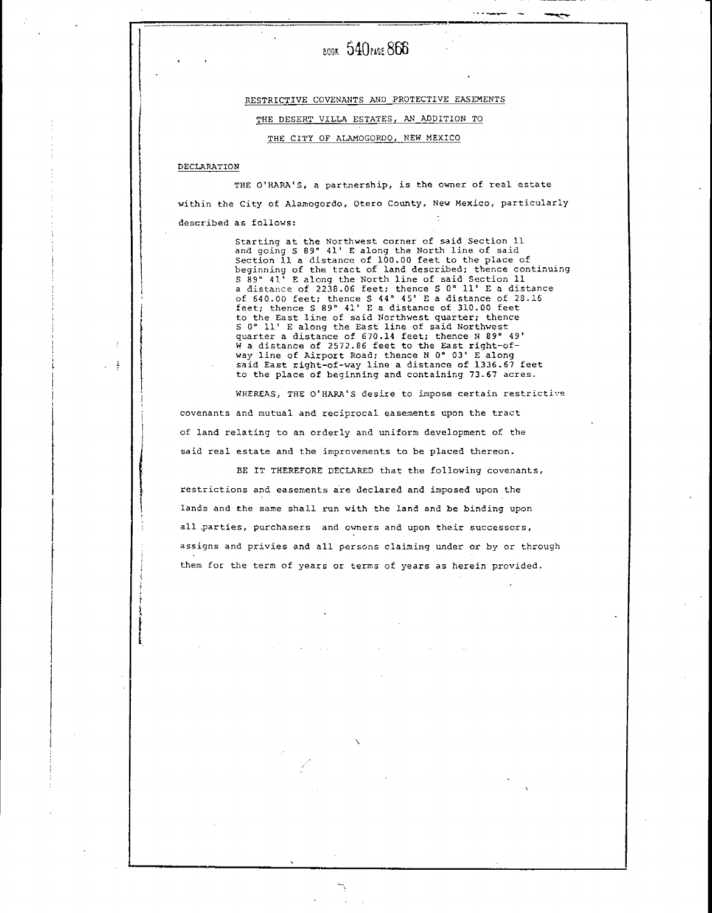## BOOK 540 PAGE 866

RESTRICTIVE COVENANTS AND PROTECTIVE EASEMENTS

THE DESERT VILLA ESTATES, AN ADDITION TO

THE CITY OF ALAMOGORDO, NEW MEXICO

#### DECLARATION

THE O'HARA'S, a partnership, is the owner of real estate within the City of Alamogordo, Otero County, New Mexico, particularly described as follows:

> Starting at the Northwest corner of said Section 11<br>and going S 89° 41' E along the North line of said<br>Section 11 a distance of 100.00 feet to the place of beginning of the tract of land described; thence continuing<br>S 89° 41' E along the North line of said Section 11 a distance of 2238.06 feet; thence S 0° 11' E a distance of 640.00 feet; thence S 44° 45' E a distance of 28.16 feet; thence S 89° 41' E a distance of 310.00 feet to the East line of said Northwest quarter; thence<br>S 0° 11' E along the East line of said Northwest guarter a distance of 670.14 feet; thence N 89° 49'<br>W a distance of 2572.86 feet to the East right-of-<br>way line of Airport Road; thence N 0° 03' E along said East right-of-way line a distance of 1336.67 feet to the place of beginning and containing 73.67 acres.

WHEREAS, THE O'HARA'S desire to impose certain restrictive covenants and mutual and reciprocal easements upon the tract of land relating to an orderly and uniform development of the said real estate and the improvements to be placed thereon.

BE IT THEREFORE DECLARED that the following covenants, restrictions and easements are declared and imposed upon the lands and the same shall run with the land and be binding upon all parties, purchasers and owners and upon their successors, assigns and privies and all persons claiming under or by or through them for the term of years or terms of years as herein provided.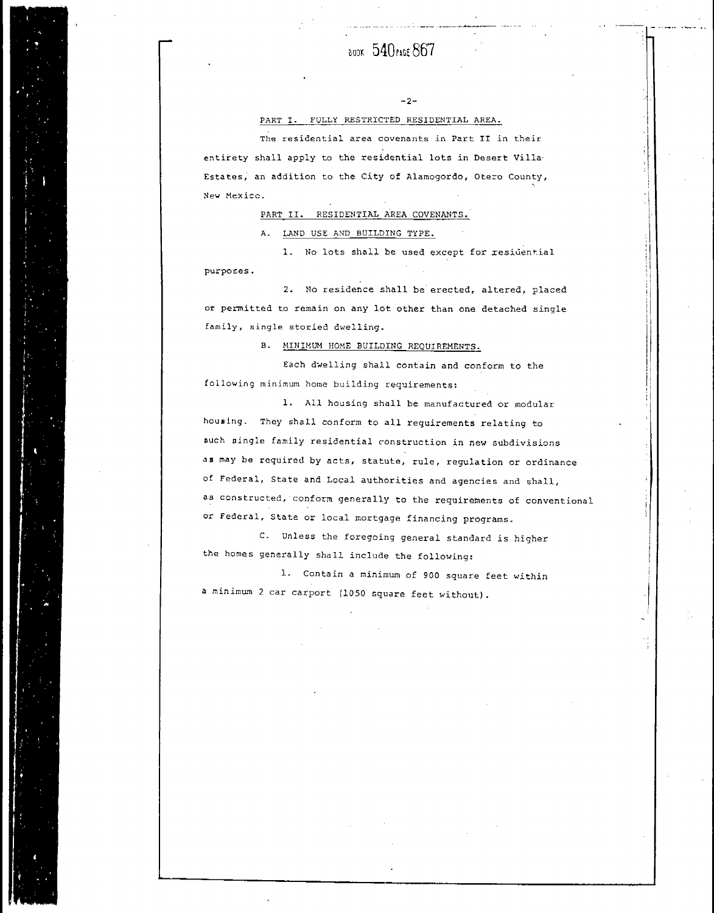### 800K 540 PAGE 867

 $-2-$ 

#### PART I. FULLY RESTRICTED RESIDENTIAL AREA.

The residential area covenants in Part II in their entirety shall apply to the residential lots in Desert Villa-Estates, an addition to the City of Alamogordo, Otero County, New Mexico.

PART II. RESIDENTIAL AREA COVENANTS.

A. LAND USE AND BUILDING TYPE.

1. No lots shall be used except for residential purposes.

2. No residence shall be erected, altered, placed or permitted to remain on any lot other than one detached single family, single storied dwelling.

B. MINIMUM HOME BUILDING REQUIREMENTS.

Each dwelling shall contain and conform to the following minimum home building requirements:

1. All housing shall be manufactured or modular housing. They shall conform to all requirements relating to such single family residential construction in new subdivisions as may be required by acts, statute, rule, regulation or ordinance of Federal, State and Local authorities and agencies and shall, as constructed, conform generally to the requirements of conventional or Federal, State or local mortgage financing programs.

C. Unless the foregoing general standard is higher the homes generally shall include the following:

1. Contain a minimum of 900 square feet within a minimum 2 car carport (1050 square feet without).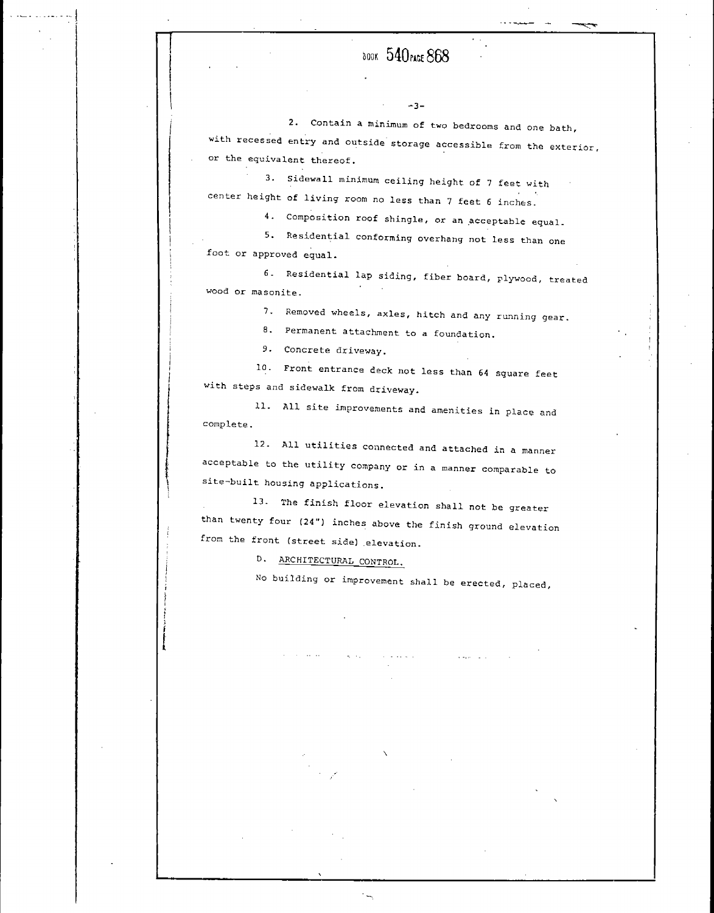### **BOOK 540 PAGE 868**

 $-3-$ 

2. Contain a minimum of two bedrooms and one bath, with recessed entry and outside storage accessible from the exterior, or the equivalent thereof.

3. Sidewall minimum ceiling height of 7 feet with center height of living room no less than 7 feet 6 inches.

4. Composition roof shingle, or an acceptable equal.

5. Residential conforming overhang not less than one foot or approved equal.

6. Residential lap siding, fiber board, plywood, treated wood or masonite.

7. Removed wheels, axles, hitch and any running gear.

8. Permanent attachment to a foundation.

9. Concrete driveway.

10. Front entrance deck not less than 64 square feet with steps and sidewalk from driveway.

11. All site improvements and amenities in place and complete.

12. All utilities connected and attached in a manner acceptable to the utility company or in a manner comparable to site-built housing applications.

13. The finish floor elevation shall not be greater than twenty four (24") inches above the finish ground elevation from the front (street side) elevation.

D. ARCHITECTURAL CONTROL.

 $\mathcal{A}_\mathrm{c}$  ,  $\mathcal{A}_\mathrm{c}$  ,

No building or improvement shall be erected, placed,

 $\langle\hat{z},\hat{\omega}_{\mathrm{NN}}\rangle$  ,  $\hat{\omega}_{\mathrm{NN}}$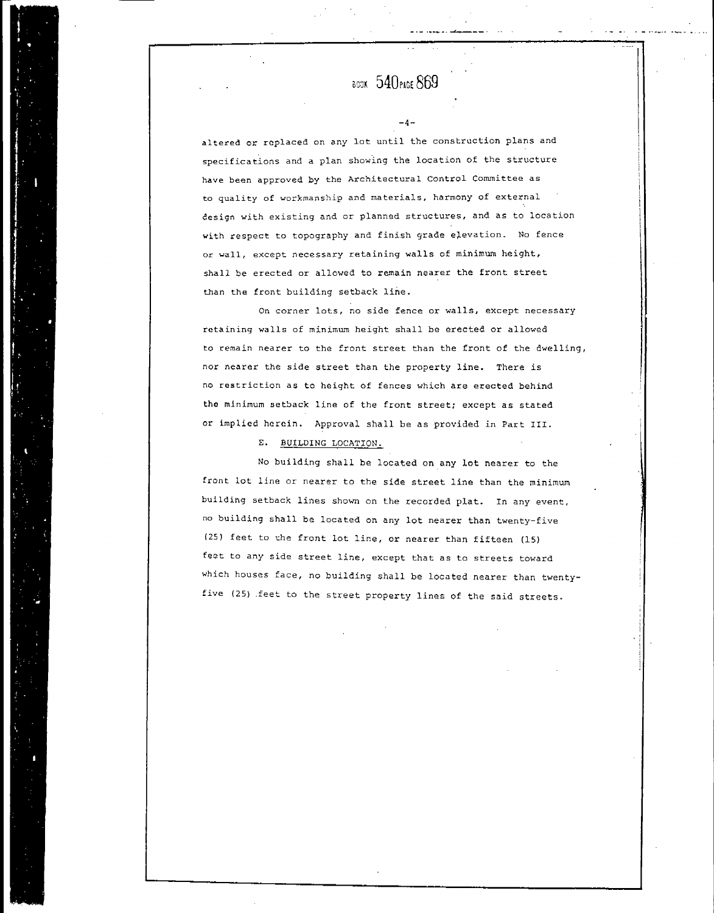**BOOK 540 PAGE 869** 

 $-4-$ 

altered or replaced on any lot until the construction plans and specifications and a plan showing the location of the structure have been approved by the Architectural Control Committee as to quality of workmanship and materials, harmony of external design with existing and or planned structures, and as to location with respect to topography and finish grade elevation. No fence or wall, except necessary retaining walls of minimum height, shall be erected or allowed to remain nearer the front street than the front building setback line.

On corner lots, no side fence or walls, except necessary retaining walls of minimum height shall be erected or allowed to remain nearer to the front street than the front of the dwelling, nor nearer the side street than the property line. There is no restriction as to height of fences which are erected behind the minimum setback line of the front street; except as stated or implied herein. Approval shall be as provided in Part III.

E. BUILDING LOCATION.

No building shall be located on any lot nearer to the front lot line or nearer to the side street line than the minimum building setback lines shown on the recorded plat. In any event, no building shall be located on any lot nearer than twenty-five (25) feet to the front lot line, or nearer than fifteen (15) feet to any side street line, except that as to streets toward which houses face, no building shall be located nearer than twentyfive (25) feet to the street property lines of the said streets.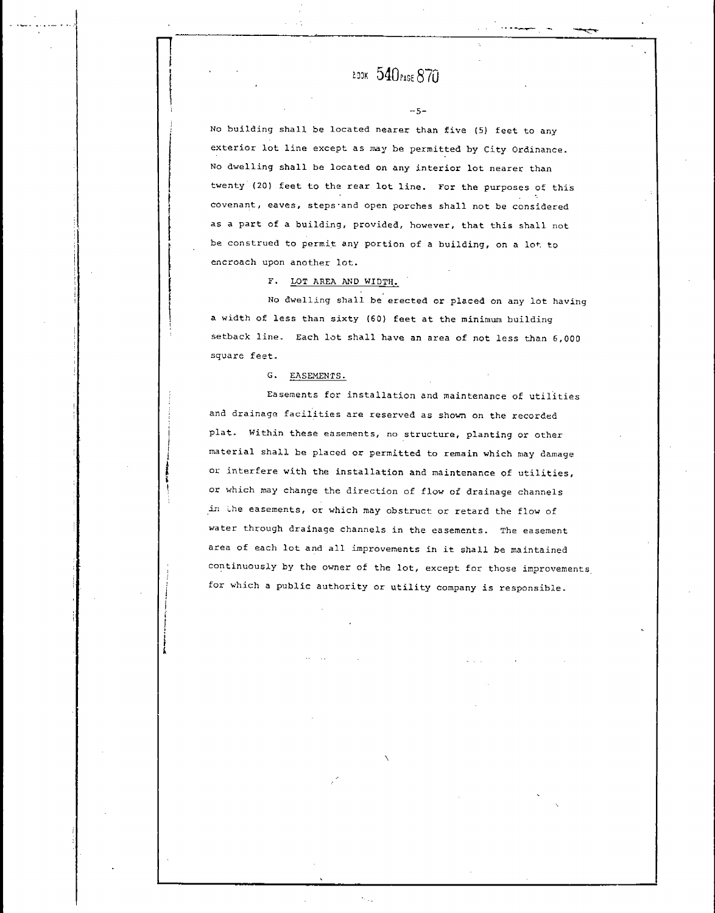$-5-$ 

No building shall be located nearer than five (5) feet to any exterior lot line except as may be permitted by City Ordinance. No dwelling shall be located on any interior lot nearer than twenty (20) feet to the rear lot line. For the purposes of this covenant, eaves, steps and open porches shall not be considered as a part of a building, provided, however, that this shall not be construed to permit any portion of a building, on a lot to encroach upon another lot.

F. LOT AREA AND WIDTH.

No dwelling shall be erected or placed on any lot having a width of less than sixty (60) feet at the minimum building setback line. Each lot shall have an area of not less than 6,000 square feet.

G. EASEMENTS.

Easements for installation and maintenance of utilities and drainage facilities are reserved as shown on the recorded plat. Within these easements, no structure, planting or other material shall be placed or permitted to remain which may damage or interfere with the installation and maintenance of utilities, or which may change the direction of flow of drainage channels in the easements, or which may obstruct or retard the flow of water through drainage channels in the easements. The easement area of each lot and all improvements in it shall be maintained continuously by the owner of the lot, except for those improvements for which a public authority or utility company is responsible.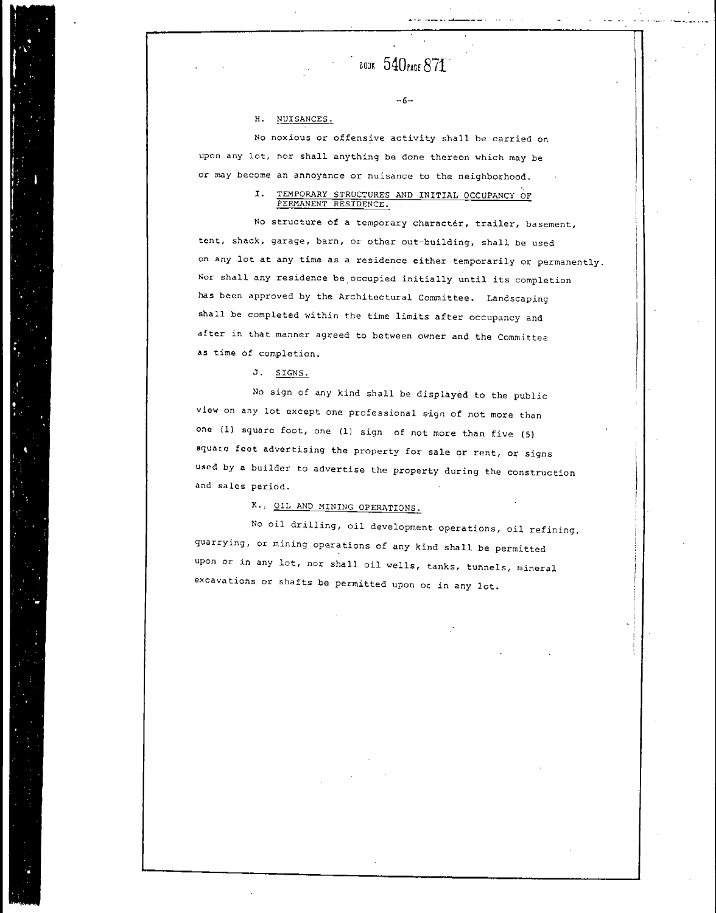$\frac{1}{2}$  800K  $\,540$ PAGE  $871$ 

 $-6-$ 

**\_\_\_**\_\_\_\_\_

#### NUISANCES. H.

No noxious or offensive activity shall be carried on upon any lot, nor shall anything be done thereon which may be or may become an annoyance or nuisance to the neighborhood.

#### TEMPORARY STRUCTURES AND INITIAL OCCUPANCY OF  $T_{\star}$ PERMANENT RESIDENCE.

No structure of a temporary character, trailer, basement, tent, shack, garage, barn, or other out-building, shall be used on any lot at any time as a residence either temporarily or permanently. Nor shall any residence be occupied initially until its completion has been approved by the Architectural Committee. Landscaping shall be completed within the time limits after occupancy and after in that manner agreed to between owner and the Committee as time of completion.

J. SIGNS.

No sign of any kind shall be displayed to the public view on any lot except one professional sign of not more than ona (1) square foot, one (1) sign of not more than five (5) square feet advertising the property for sale or rent, or signs used by a builder to advertise the property during the construction and sales period.

K. OIL AND MINING OPERATIONS.

No oil drilling, oil development operations, oil refining, quarrying, or mining operations of any kind shall be permitted upon or in any lot, nor shall oil wells, tanks, tunnels, mineral excavations or shafts be permitted upon or in any lot.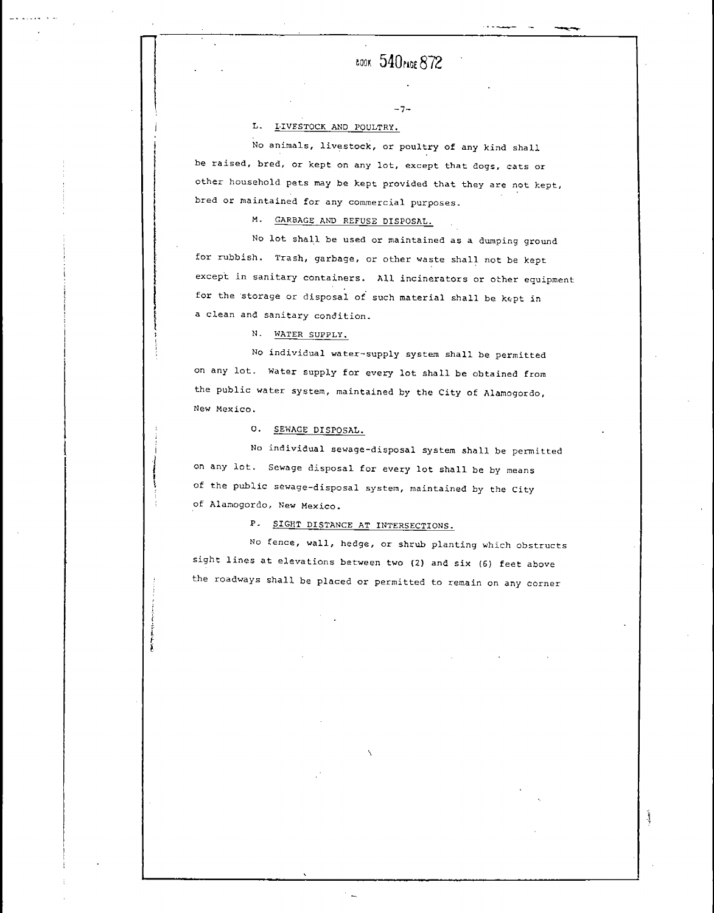$-7-$ 

#### L. LIVESTOCK AND POULTRY.

No animals, livestock, or poultry of any kind shall be raised, bred, or kept on any lot, except that dogs, cats or other household pets may be kept provided that they are not kept, bred or maintained for any commercial purposes.

M. GARBAGE AND REFUSE DISPOSAL.

No lot shall be used or maintained as a dumping ground for rubbish. Trash, garbage, or other waste shall not be kept except in sanitary containers. All incinerators or other equipment for the storage or disposal of such material shall be kept in a clean and sanitary condition.

N. WATER SUPPLY.

No individual water-supply system shall be permitted on any lot. Water supply for every lot shall be obtained from the public water system, maintained by the City of Alamogordo, New Mexico.

O. SEWAGE DISPOSAL.

No individual sewage-disposal system shall be permitted on any lot. Sewage disposal for every lot shall be by means of the public sewage-disposal system, maintained by the City of Alamogordo, New Mexico.

P. SIGHT DISTANCE AT INTERSECTIONS.

No fence, wall, hedge, or shrub planting which obstructs sight lines at elevations between two (2) and six (6) feet above the roadways shall be placed or permitted to remain on any corner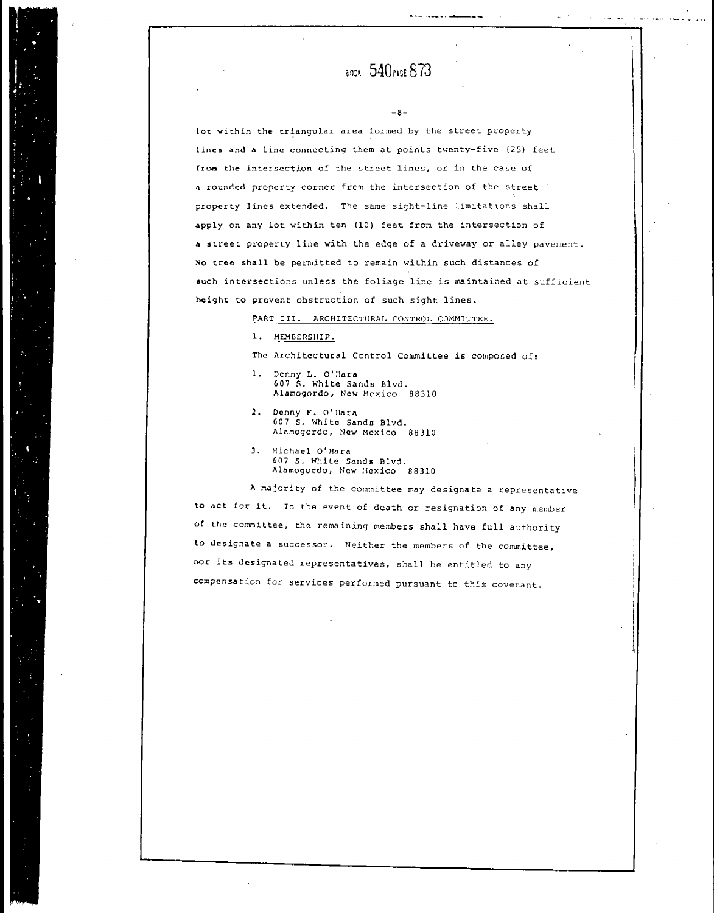$-R -$ 

بالمسترد والمساور المروانية

المتهام والمتعاطف

lot within the triangular area formed by the street property lines and a line connecting them at points twenty-five (25) feet from the intersection of the street lines, or in the case of a rounded property corner from the intersection of the street property lines extended. The same sight-line limitations shall apply on any lot within ten (10) feet from the intersection of a street property line with the edge of a driveway or alley pavement. No tree shall be permitted to remain within such distances of such intersections unless the foliage line is maintained at sufficient height to prevent obstruction of such sight lines.

#### PART III. ARCHITECTURAL CONTROL COMMITTEE.

1. MEMBERSHIP.

The Architectural Control Committee is composed of:

- 1. Denny L. O'Hara 607 S. White Sands Blvd. Alamogordo, New Mexico 88310
- 2. Denny F. O'Hara 607 S. White Sands Blvd. Alamogordo, New Mexico 88310
- 3. Michael O'Hara 607 S. White Sands Blvd. Alamogordo, New Mexico 88310

A majority of the committee may designate a representative to act for it. In the event of death or resignation of any member of the committee, the remaining members shall have full authority to designate a successor. Neither the members of the committee, nor its designated representatives, shall be entitled to any compensation for services performed pursuant to this covenant.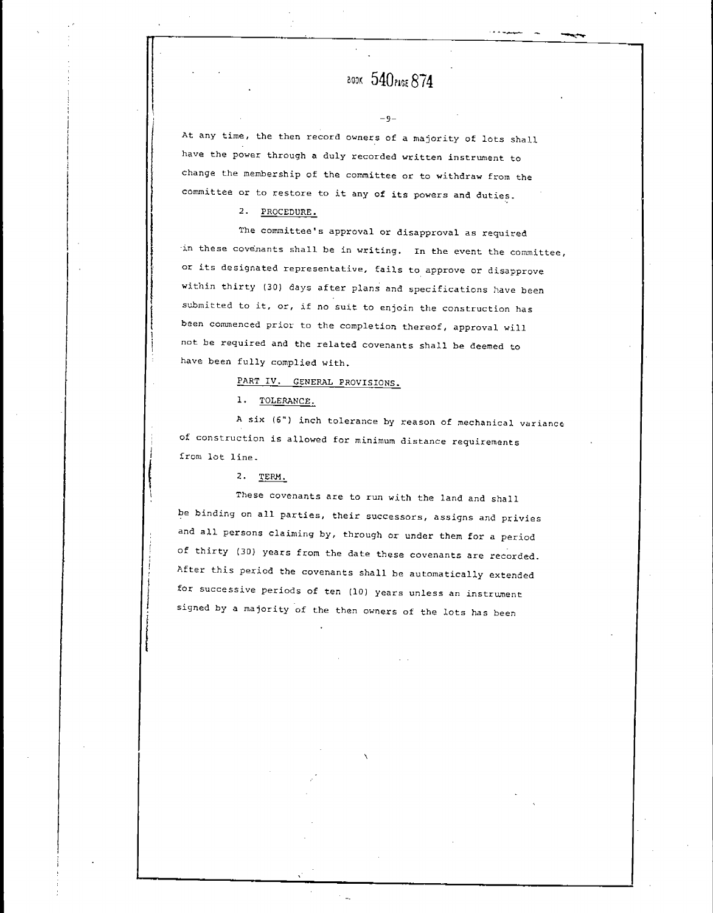## аоок 540 РАСЕ 874

 $-9-$ 

At any time, the then record owners of a majority of lots shall have the power through a duly recorded written instrument to change the membership of the committee or to withdraw from the committee or to restore to it any of its powers and duties.

2. PROCEDURE.

The committee's approval or disapproval as required in these covenants shall be in writing. In the event the committee, or its designated representative, fails to approve or disapprove within thirty (30) days after plans and specifications have been submitted to it, or, if no suit to enjoin the construction has been commenced prior to the completion thereof, approval will not be required and the related covenants shall be deemed to have been fully complied with.

PART IV. GENERAL PROVISIONS.

1. TOLERANCE.

A six (6") inch tolerance by reason of mechanical variance of construction is allowed for minimum distance requirements from lot line.

 $2.$  TERM.

These covenants are to run with the land and shall be binding on all parties, their successors, assigns and privies and all persons claiming by, through or under them for a period of thirty (30) years from the date these covenants are recorded. After this period the covenants shall be automatically extended for successive periods of ten (10) years unless an instrument signed by a majority of the then owners of the lots has been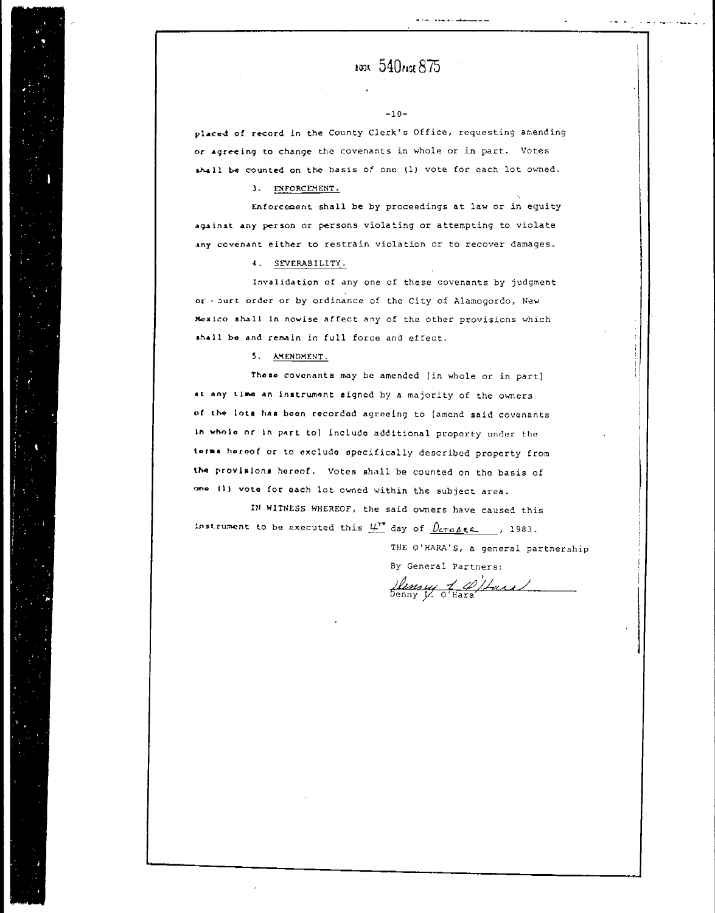$-10-$ 

بنقصاء والمحادث الحادية

placed of record in the County Clerk's Office, requesting amending or agreeing to change the covenants in whole or in part. Votes shall be counted on the basis of one (1) vote for each lot owned.

3. ENFORCEMENT.

Enforcement shall be by proceedings at law or in equity against any person or persons violating or attempting to violate any covenant either to restrain violation or to recover damages.

4. SEVERABILITY.

Invalidation of any one of these covenants by judgment or . surt order or by ordinance of the City of Alamogordo, New Mexico shall in nowise affect any of the other provisions which shall be and remain in full force and effect.

5. AMENDMENT.

These covenants may be amended [in whole or in part] at any time an instrument signed by a majority of the owners of the lots has been recorded agreeing to [amend said covenants In whole or in part to) include additional property under the terms hereof or to exclude specifically described property from the provisions hereof. Votes shall be counted on the basis of one (1) vote for each lot owned within the subject area.

IN WITNESS WHEREOF, the said owners have caused this instrument to be executed this  $\mu^{\text{ref}}$  day of  $\theta$ croses. , 1983.

THE O'HARA'S, a general partnership

By General Partners: Henry 1 Pitars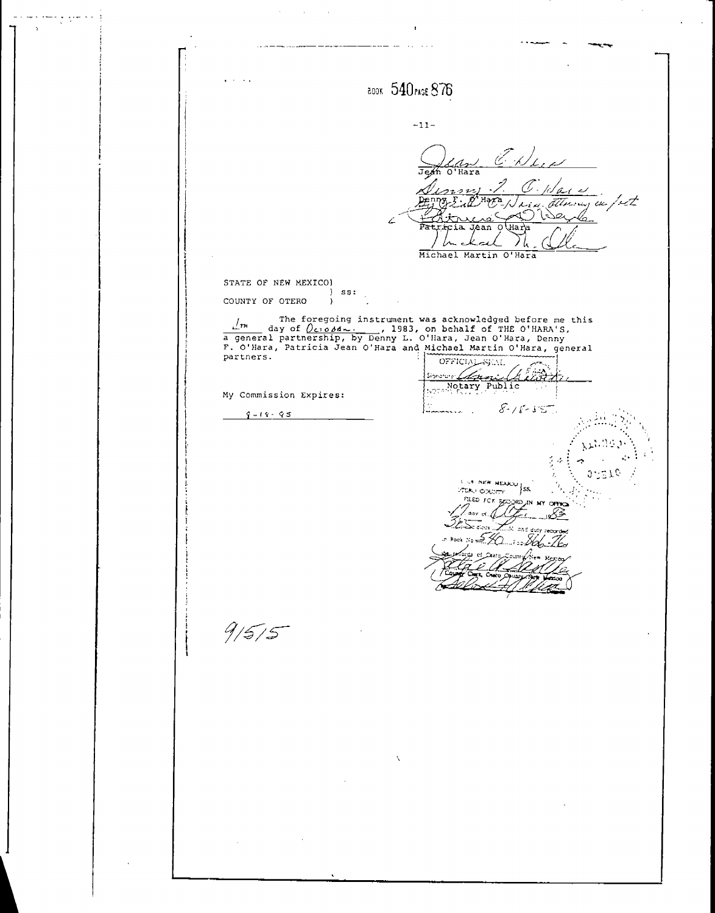$\epsilon$  $\sim$  $\sim$   $\sim$ BOOK 540 PASE 876  $-11-$ J. E. White Jejín  $\overline{\wedge^1$ Hara 'a s معد /rt 7  $H<sub>2</sub>$ ノム Michael Martin O'Hara STATE OF NEW MEXICO)  $\mathcal{L}$  $ss:$ COUNTY OF OTERO  $\overline{)}$ The foregoing instrument was acknowledged before me this day of  $Q_{c10}Mm...$ , 1983, on behalf of THE O'HARA'S, a general partnership, by Denny L. O'Hara, Jean O'Hara, Denny F. O'Hara, general F. O'Hara, Patricia Jean O'Har partners. OFFICIAL zê h <u>l den</u> ionature: Motary Public My Commission Expires:  $8 - 18 - 55$  $9 - 19 - 95$ 25370 **L. LA INEW MEXICO STEAD COUPLY** |ss PILED FOR BET .<br>dav  $9/5/5$ 

 $\zeta \sim 10^{-1}$ 

J.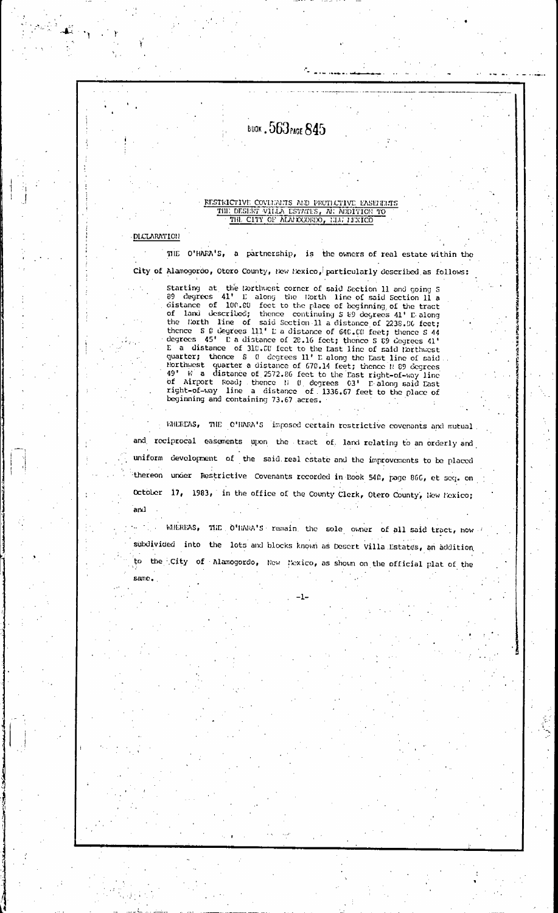### **BOOK . 563 PAGE 845**

### RESTRICTIVE COVIDANTS AND PROTECTIVE EASEBRATS THE DESERT VILLA ESTATES, AN ADDITION TO THE CITY OF ALMEXONDO, HAN MIXICO

#### **DICLARATION**

and

same.

 $\mathbb{E}^{\frac{1}{2}}_{\mathcal{A}}\mathbb{E}_{\mathcal{A}}\mathbb{E}_{\mathcal{A}}$ 

THE O'HARA'S, a partnership, is the owners of real estate within the City of Alamogordo, Otero County, New Mexico, particularly described as follows:

Starting at the forthwest corner of said Section 11 and going 5<br>89 degrees 41' L along the Horth line of said Section 11 a<br>distance of 100.00 feet to the place of beginning of the tract<br>of land described; thence continuing thence S C degrees 111' L a distance of 640.00 feet; thence S 44<br>degrees 45' L a distance of 20.16 feet; thence S 89 degrees 41' E a distance of 310.00 feet to the Last line of said lorthwest<br>quarter; thence S 0 degrees 11' L along the Last line of said Northwest quarter a distance of 670.14 feet; thence  $\frac{1}{1}$  80 degrees  $\frac{1}{10}$  betthwest quarter a distance of 670.14 feet; thence  $\frac{1}{1}$  80 degrees  $\frac{1}{10}$  w a distance of 2572.86 feet to the East right-of-way beginning and containing 73.67 acres.

WHEREAS, THE C'HARA'S imposed certain restrictive covenants and mutual and reciprocal easements upon the tract of land relating to an orderly and uniform development of the said real estate and the improvements to be placed thereon under Restrictive Covenants recorded in Book 540, page 866, et seq. on October 17, 1983, in the office of the County Clerk, Otero County, New Mexico;

MHEREAS, THE O'HARA'S remain the sole owner of all said tract, now subdivided into the lots and blocks known as Desert Villa Estates, an addition to the City of Alamogordo, Now Mexico, as shown on the official plat of the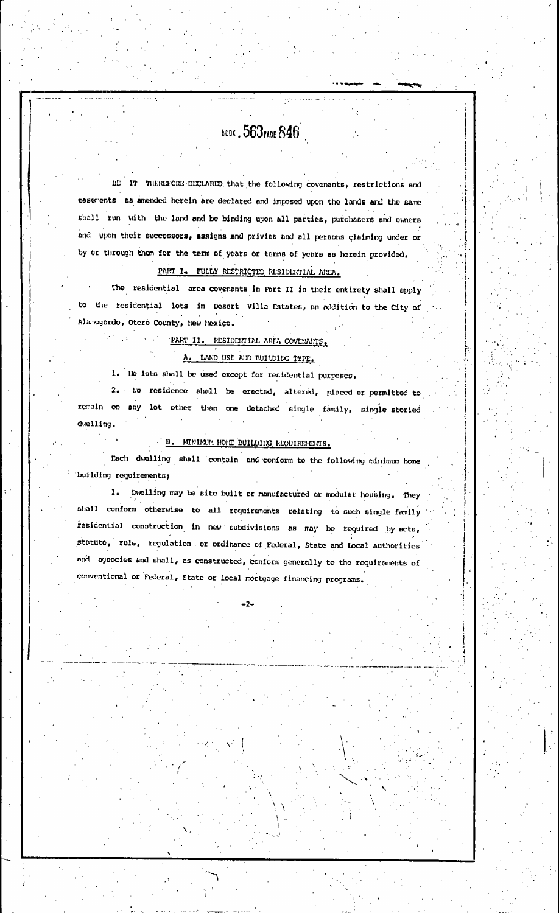# воок, 563 глас 846

BE IT THERIFORE DICLARID that the following covenants, restrictions and easements as amended herein are declared and imposed upon the lands and the same shall run with the land and be binding upon all parties, purchasers and owners and upon their successors, assigns and privies and all persons claiming under or by or through them for the term of years or terms of years as herein provided. PART I. FULLY RESTRICTED RESIDERTIAL AREA.

The residential area covenants in Part II in their entirety shall apply to the residential lots in Desert Villa Estates, an addition to the City of Alamogordo, Otero County, New Mexico.

### PART II. RESIDENTIAL AREA COVERNITS. A. LAND USE ALD BUILDING TYPE.

1. No lots shall be used except for residential purposes.

2. No residence shall be erected, altered, placed or permitted to remain on any lot other than one detached single family, single storied  $d$ welling.

#### B. MINIMUM HOLE BUILDING REQUIREMENTS.

Each dwelling shall contain and conform to the following minimum home building requirements;

1. Dwelling may be site built or manufactured or modular housing. They shall conform otherwise to all requirements relating to such single family residential construction in new subdivisions as may be required by acts, statute, rule, regulation or ordinance of Foderal, State and Local authorities and agencies and shall, as constructed, conform generally to the requirements of conventional or federal, State or local mortgage financing programs.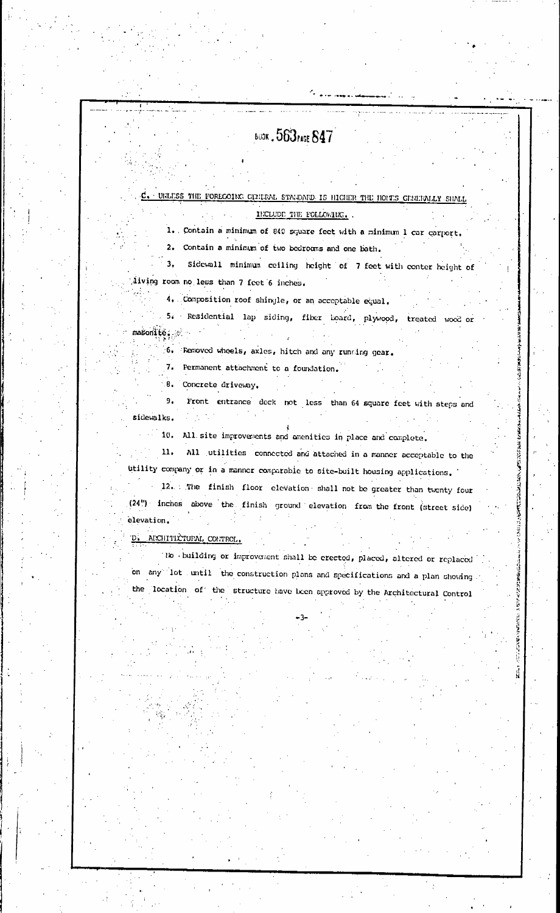# **BUDK . 563 PAGE 847**

### C. UNLESS THE FORECOING GENERAL STANDARD IS HIGHER THE HOLTS GENERALLY SHAL

#### INCLUDE THE FOLLOWING.

1. Contain a minimum of 840 square fect with a minimum 1 car carport.

2. Contain a minimum of two bedrooms and one bath.

 $\overline{\mathbf{3}}$ Sidewall minimum ceiling height of 7 feet with center height of living room no less than 7 feet 6 inches.

4. Composition roof shingle, or an acceptable equal. 5. Residential lap siding, fiber board, plywood, treated wood or  $\mathsf{masonite}$ ,  $\mathscr{N}$ 

6. Removed wheels, axles, hitch and any running gear.

7. Permanent attachment to a foundation.

8. Concrete driveway.

 $9<sub>1</sub>$ Front entrance deck not less than 64 square feet with steps and sidewalks.

All site improvements and amenities in place and complete.  $10.$ 

11. All utilities connected and attached in a manner acceptable to the

utility company or in a manner comparable to site-built housing applications. 12. The finish floor elevation shall not be greater than twenty four (24") inches above the finish ground elevation from the front (street side) elevation.

**ARANTES ARANTES** 

**Little Avenue** 

D. ARCHITECTURAL CONTROL.

No building or improvement shall be erected, placed, altered or replaced on any lot until the construction plans and specifications and a plan showing. the location of the structure have been approved by the Architectural Control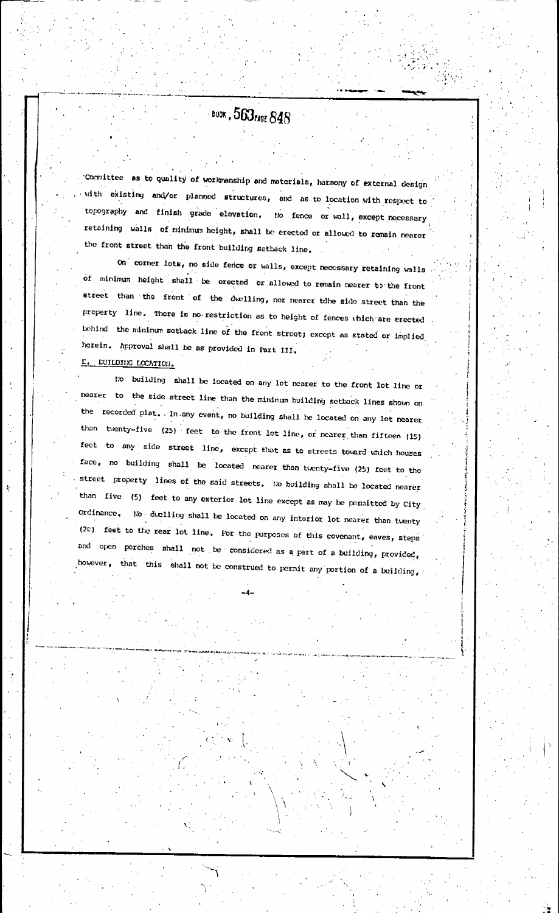BUOK . 563 PAGE 848

Committee as to quality of workmanship and materials, harmony of external design with existing anxi/or planned structures, and as to location with respect to topography and finish grade elevation. No fence or wall, except necessary retaining walls of minimum height, shall be erected or allowed to remain nearer the front street than the front building setback line.

On corner lots, no side fence or walls, except necessary retaining walls of minimum height shall be erected or allowed to remain nearer to the front street than the front of the dwelling, nor nearer tdhe side street than the property line. There is no restriction as to height of fences which are erected. behind the minimum setback line of the front street; except as stated or implied herein. Approval shall be as provided in Part III. E. EUILDING LOCATION.

No building shall be located on any lot nearer to the front lot line or nearer to the side street line than the minimum building setback lines shown on the recorded plat. In any event, no building shall be located on any lot nearer than twenty-five (25) feet to the front lot line, or nearer than fifteen (15) feet to any side street line, except that as to streets toward which houses face, no building shall be located nearer than tuenty-five (25) feet to the street property lines of the said streets. No building shall be located nearer than five (5) feet to any exterior lot line except as may be permitted by City Ordinance. No duelling shall be located on any interior lot nearer than tuenty (20) feet to the rear lot line. For the purposes of this covenant, eaves, steps and open porches shall not be considered as a part of a building, provided, however, that this shall not be construed to permit any portion of a building,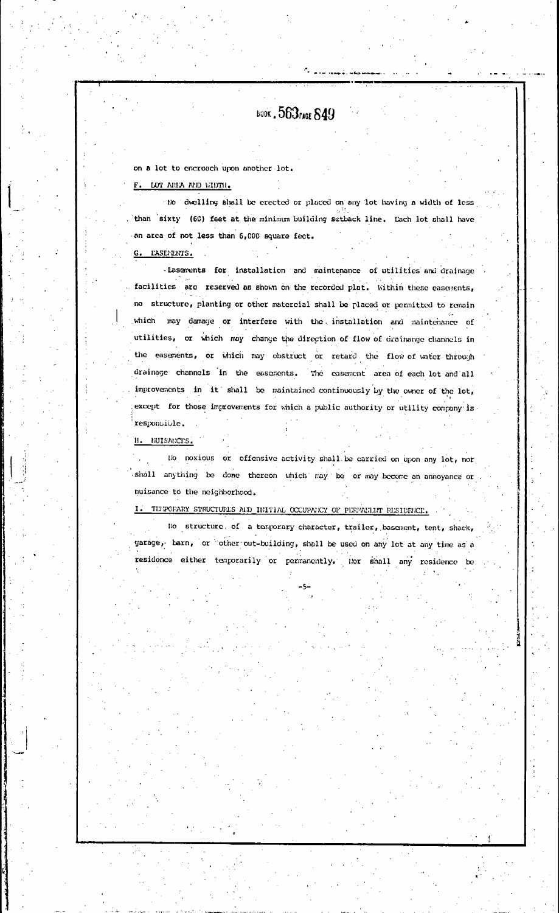**BOOK . 563rADE 849** 

on a lot to encroach upon another lot.

F. LOT AREA AND WIDTH.

No dwelling shall be erected or placed on any lot having a width of less than sixty (60) feet at the minimum building setback line. Each lot shall have an area of not less than 6,000 square fect.

G. TASEMENTS.

-Lasements for installation and maintenance of utilities and drainage facilities are reserved as shown on the recorded plat. Within these easements, no structure, planting or other matercial shall be placed or permitted to remain which may damage or interfere with the installation and maintenance of utilities, or which may change the direction of flow of drainange channels in the easements, or which may obstruct or retard the flow of water through drainage channels in the easements. The casement area of each lot and all improvements in it shall be maintained continuously by the owner of the lot, except for those improvements for which a public authority or utility company is responsible.

H. NUISANCES.

No noxious or offensive activity shall be carried on upon any lot, nor shall anything be done thereon which may be or may become an annoyance or nuisance to the neighborhood.

I. TEPPOFARY STRUCTURES AND INITIAL OCCUPANCY OF PERMANIAT PESIDENCE.

No structure of a tomporary character, trailer, basement, tent, shack, yarage, barn, or other out-building, shall be used on any lot at any time as a residence either temporarily or permanently. Nor shall any residence be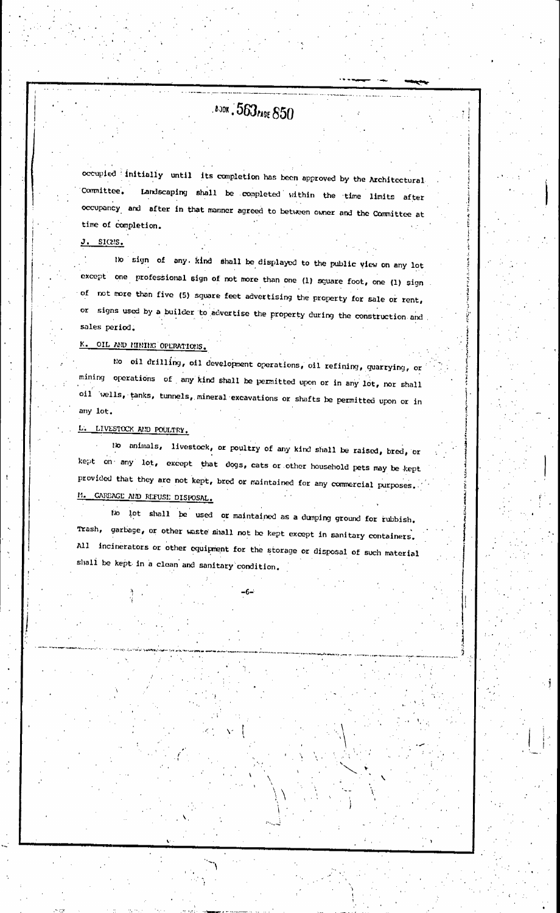# **BOOK . 563 PAGE 850**

occupied initially until its completion has been approved by the Architectural Landscaping shall be completed within the time limits after Committee. occupancy and after in that manner agreed to between owner and the Committee at time of completion.

 $J.$  sices.

to sign of any kind shall be displayed to the public view on any lot except one professional sign of not more than one (1) square foot, one (1) sign of not more than five (5) square feet advertising the property for sale or rent, or signs used by a builder to advertise the property during the construction and sales period.

K. OIL AND MINING OPERATIONS.

No oil drilling, oil development operations, oil refining, quarrying, or mining operations of any kind shall be permitted upon or in any lot, nor shall oil wells, tanks, tunnels, mineral excavations or shafts be permitted upon or in any lot.

L. LIVESTOCK AND POULTRY.

No animals, livestock, or poultry of any kind shall be raised, bred, or kept on any lot, except that dogs, cats or other household pets may be kept provided that they are not kept, bred or maintained for any commercial purposes. M. CAREAGE AND REFUSE DISPOSAL.

No lot shall be used or maintained as a dumping ground for rubbish. Trash, garbage, or other waste shall not be kept except in sanitary containers. All incinerators or other equipment for the storage or disposal of such material shall be kept in a clean and sanitary condition.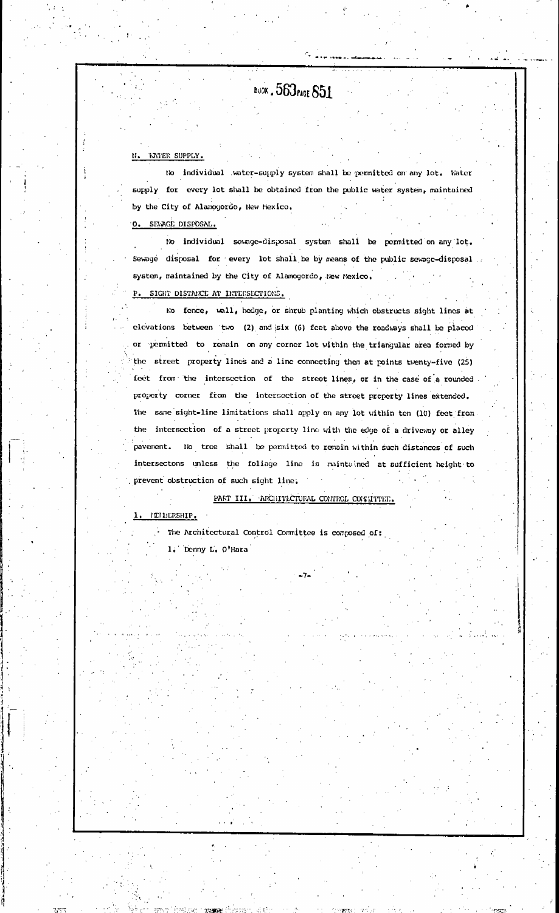# BUOK . 563 PAGE 851

#### N. TATER SUPPLY.

No individual water-supply system shall be permitted on any lot. Water supply for every lot shall be obtained from the public water system, maintained by the City of Alamogordo, New Mexico.

O. SENAGE DISPOSAL.

No individual sewage-disposal system shall be permitted on any lot. Sewage disposal for every lot shall be by means of the public sewage-disposal system, maintained by the City of Alamogordo, New Mexico. P. SIGHT DISTANCE AT INTERSECTIONS.

No fence, wall, hedge, or shrub planting which obstructs sight lines at clevations between two (2) and six (6) feet above the roadways shall be placed or permitted to remain on any corner lot within the triangular area formed by the street property lines and a line connecting them at points twenty-five (25) feet from the intersection of the street lines, or in the case of a rounded. property corner from the intersection of the street property lines extended. The same sight-line limitations shall apply on any lot within ten (10) feet from the intersection of a street property line with the edge of a driveway or alley pavement. No tree shall be permitted to remain within such distances of such intersectons unless the foliage line is maintained at sufficient height to prevent obstruction of such sight line.

PART III. ARCHITECTURAL CONTROL COMMITTEE.

ILIBERSHIP.

The Architectural Control Committee is composed of:

1. Denny L. O'Hara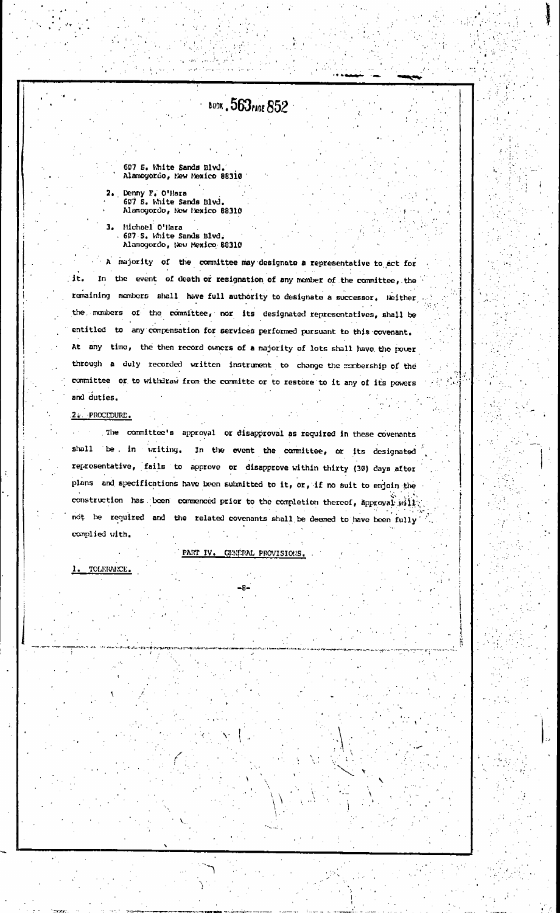# **BUOK . 563 rAGE 852**

607 S. White Sands Blvd. Alamoyordo, New Mexico 88310

Denny F. O'Hara  $2.1$ 607 S. White Sands Blvd. Alamogordo, New Hexico 88310

Michael O'Hara<br>607 S. White Sands Blvd. 3. Alamogordo, New Mexico 88310

A majority of the committee may designate a representative to act for it. In the event of death or resignation of any momber of the committee, the remaining members shall have full authority to designate a successor. Neither the monbers of the committee, nor its designated representatives, shall be entitled to any compensation for services performed pursuant to this covenant. At any time, the then record owners of a majority of lots shall have the power through a duly recorded written instrument to change the manbership of the committee or to withdraw from the committe or to restore to it any of its powers and duties.

#### 2. PROCEDURE.

The committee's approval or disapproval as required in these covenants shall be in writing. In the event the committee, or its designated representative, fails to approve or disapprove within thirty (30) days after plans and specifications have been submitted to it, or, if no suit to enjoin the construction has been commenced prior to the completion thereof, approval will not be required and the related covenants shall be deemed to have been fully complied with.

#### PART IV. GENERAL PROVISIONS.

1. TOLERANCE.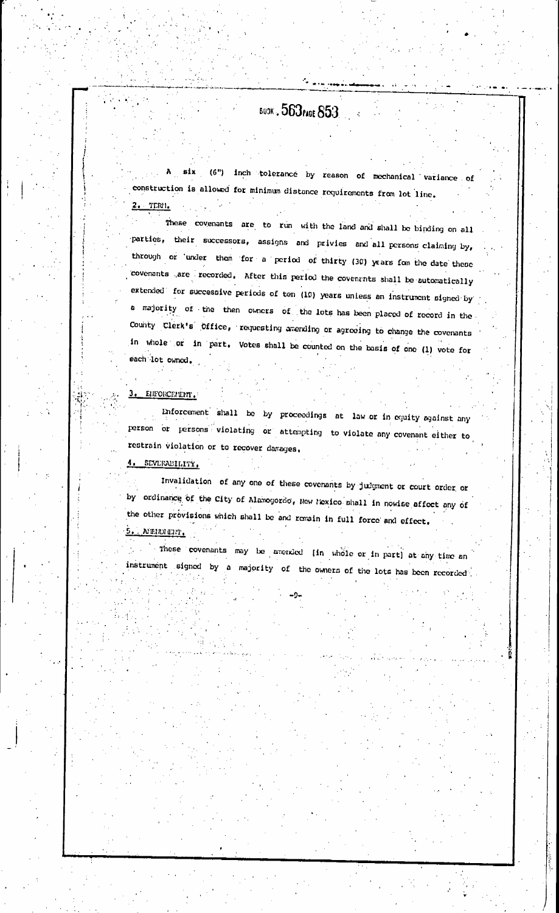# **BUDK . 563 PAGE 853**

A six (6") inch tolerance by reason of mechanical variance of construction is allowed for minimum distance requirements from lot line.  $2.$  TERM.

These covenants are to run with the land and shall be binding on all parties, their successors, assigns and privies and all persons claiming by, through or under them for a period of thirty (30) years fom the date these covenants are recorded. After this period the covenants shall be automatically extended for successive periods of ten (10) years unless an instrument signed by a majority of the then owners of the lots has been placed of record in the County Clerk's Office, requesting amending or agreeing to change the covenants in whole or in part. Votes shall be counted on the basis of one (1) vote for each lot owned.

#### 3. EUFORCE/LINT.

Enforcement shall be by proceedings at law or in equity against any person or persons violating or attempting to violate any covenant either to restrain violation or to recover damages.

#### 4. SEVERABILITY.

Invalidation of any one of these covenants by judgment or court order or by ordinance of the City of Alamogordo, New Mexico shall in nowise affect any of the other provisions which shall be and remain in full force and effect.  $5.$  NEUDITRY

These covenants may be amended [in whole or in part] at any time an instrument signed by a majority of the owners of the lots has been recorded